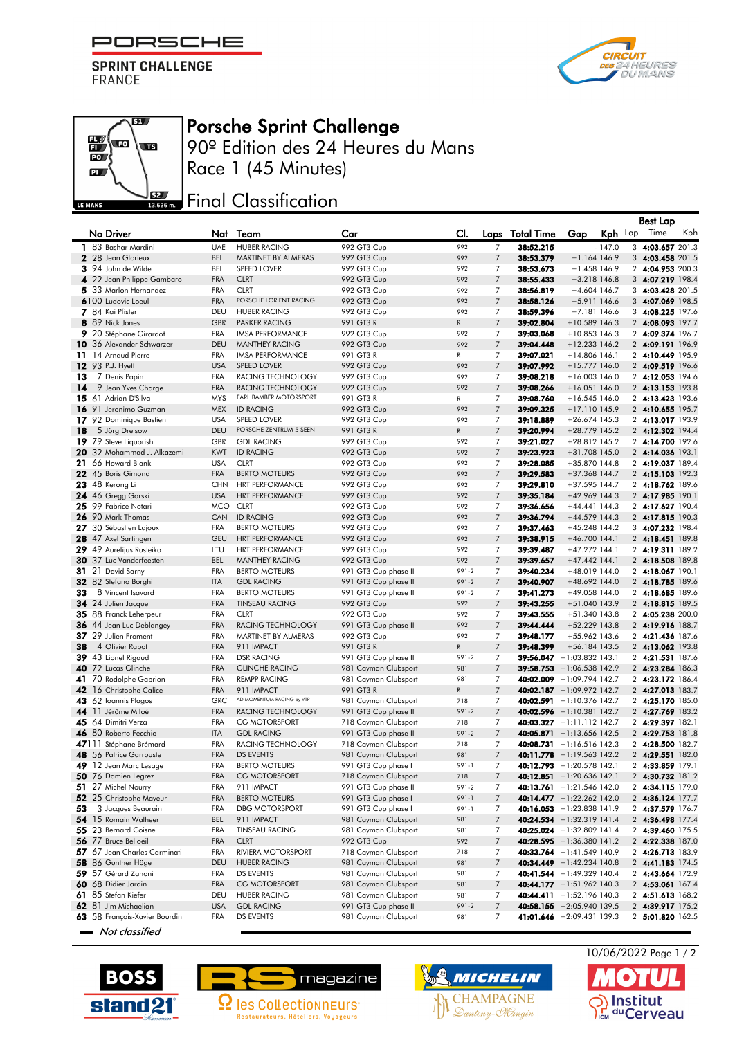PORSCHE F

**SPRINT CHALLENGE FRANCE** 

 $\overline{\mathbf{S}}$ 

wa

By a

 $\mathbb{E}$ wo

 $\mathbf{p}$ 

LE MANS





90º Edition des 24 Heures du Mans Race 1 (45 Minutes)

## **JEZ Final Classification**

|          |                                                  |                          |                                                  |                            |                     |                                  |                           |                                    |          | <b>Best Lap</b>                      |     |
|----------|--------------------------------------------------|--------------------------|--------------------------------------------------|----------------------------|---------------------|----------------------------------|---------------------------|------------------------------------|----------|--------------------------------------|-----|
|          | No Driver                                        | Nat                      | Team                                             | Car                        | CI.                 |                                  | Laps Total Time           | Gap                                | Kph Lap  | Time                                 | Kph |
|          | 1 83 Bashar Mardini                              | <b>UAE</b>               | <b>HUBER RACING</b>                              | 992 GT3 Cup                | 992                 | $\overline{7}$                   | 38:52.215                 |                                    | $-147.0$ | 3 4:03.657 201.3                     |     |
|          | 2 28 Jean Glorieux                               | <b>BEL</b>               | MARTINET BY ALMERAS                              | 992 GT3 Cup                | 992                 | $\overline{7}$                   | 38:53.379                 | $+1.164$ 146.9                     |          | 3 4:03.458 201.5                     |     |
|          | 3 94 John de Wilde                               | BEL                      | SPEED LOVER                                      | 992 GT3 Cup                | 992                 | 7                                | 38:53.673                 | $+1.458$ 146.9                     |          | 2 4:04.953 200.3                     |     |
|          | 4 22 Jean Philippe Gambaro                       | <b>FRA</b>               | <b>CLRT</b>                                      | 992 GT3 Cup                | 992                 | $\overline{7}$                   | 38:55.433                 | $+3.218$ 146.8                     |          | 3 4:07.219 198.4                     |     |
|          | 5 33 Marlon Hernandez                            | <b>FRA</b>               | <b>CLRT</b><br>PORSCHE LORIENT RACING            | 992 GT3 Cup                | 992                 | 7                                | 38:56.819                 | $+4.604$ 146.7                     |          | 3 4:03.428 201.5                     |     |
|          | 6100 Ludovic Loeul                               | <b>FRA</b>               |                                                  | 992 GT3 Cup                | 992                 | $\overline{7}$                   | 38:58.126                 | $+5.911$ 146.6                     |          | 3 4:07.069 198.5                     |     |
|          | 7 84 Kai Pfister<br>8 89 Nick Jones              | DEU<br><b>GBR</b>        | <b>HUBER RACING</b>                              | 992 GT3 Cup                | 992                 | 7<br>$\overline{7}$              | 38:59.396                 | $+7.181146.6$                      |          | 3 4:08.225 197.6                     |     |
|          |                                                  | <b>FRA</b>               | <b>PARKER RACING</b>                             | 991 GT3 R                  | ${\sf R}$           | $\overline{7}$                   | 39:02.804<br>39:03.068    | $+10.589$ 146.3<br>$+10.853$ 146.3 |          | 2 4:08.093 197.7                     |     |
|          | 9 20 Stéphane Girardot                           | <b>DEU</b>               | <b>IMSA PERFORMANCE</b><br><b>MANTHEY RACING</b> | 992 GT3 Cup                | 992<br>992          | $\overline{7}$                   | 39:04.448                 | $+12.233$ 146.2                    |          | 2 4:09.374 196.7                     |     |
|          | 10 36 Alexander Schwarzer<br>11 14 Arnaud Pierre | <b>FRA</b>               | <b>IMSA PERFORMANCE</b>                          | 992 GT3 Cup                |                     | 7                                |                           |                                    |          | 2 4:09.191 196.9<br>2 4:10.449 195.9 |     |
|          | 12 93 P.J. Hyett                                 |                          |                                                  | 991 GT3 R                  | $\mathsf{R}$<br>992 |                                  | 39:07.021                 | $+14.806$ 146.1                    |          |                                      |     |
|          | 7 Denis Papin                                    | <b>USA</b><br><b>FRA</b> | <b>SPEED LOVER</b><br>RACING TECHNOLOGY          | 992 GT3 Cup                | 992                 | $\overline{7}$<br>$\overline{7}$ | 39:07.992                 | $+15.777$ 146.0<br>$+16.003$ 146.0 |          | 2 4:09.519 196.6<br>2 4:12.053 194.6 |     |
| 13<br>14 | 9 Jean Yves Charge                               | <b>FRA</b>               | RACING TECHNOLOGY                                | 992 GT3 Cup<br>992 GT3 Cup | 992                 | $\overline{7}$                   | 39:08.218<br>39:08.266    | $+16.051$ 146.0                    |          | 2 4:13.153 193.8                     |     |
|          | 15 61 Adrian D'Silva                             | <b>MYS</b>               | EARL BAMBER MOTORSPORT                           | 991 GT3 R                  | R                   | 7                                | 39:08.760                 | $+16.545$ 146.0                    |          |                                      |     |
|          | 16 91 Jeronimo Guzman                            | <b>MEX</b>               | <b>ID RACING</b>                                 | 992 GT3 Cup                | 992                 | $\overline{7}$                   | 39:09.325                 | +17.110 145.9                      |          | 2 4:13.423 193.6<br>2 4:10.655 195.7 |     |
|          | 17 92 Dominique Bastien                          | <b>USA</b>               | <b>SPEED LOVER</b>                               | 992 GT3 Cup                | 992                 | 7                                | 39:18.889                 | $+26.674$ 145.3                    |          | 2 4:13.017 193.9                     |     |
| 18       | 5 Jörg Dreisow                                   | DEU                      | PORSCHE ZENTRUM 5 SEEN                           | 991 GT3 R                  | ${\mathsf R}$       | $\overline{7}$                   | 39:20.994                 | $+28.779$ 145.2                    |          | 2 4:12.302 194.4                     |     |
|          | 19 79 Steve Liquorish                            | <b>GBR</b>               | <b>GDL RACING</b>                                | 992 GT3 Cup                | 992                 | 7                                | 39:21.027                 | $+28.812$ 145.2                    |          | 2 4:14.700 192.6                     |     |
|          | 20 32 Mohammad J. Alkazemi                       | <b>KWT</b>               | <b>ID RACING</b>                                 | 992 GT3 Cup                | 992                 | $\overline{7}$                   | 39:23.923                 | +31.708 145.0                      |          | 2 4:14.036 193.1                     |     |
| 21       | 66 Howard Blank                                  | <b>USA</b>               | <b>CLRT</b>                                      | 992 GT3 Cup                | 992                 | $\overline{7}$                   | 39:28.085                 | +35.870 144.8                      |          | 2 4:19.037 189.4                     |     |
|          | 22 45 Boris Gimond                               | <b>FRA</b>               | <b>BERTO MOTEURS</b>                             | 992 GT3 Cup                | 992                 | $\overline{7}$                   | 39:29.583                 | +37.368 144.7                      |          | 2 4:15.103 192.3                     |     |
|          | <b>23</b> 48 Kerong Li                           | <b>CHN</b>               | <b>HRT PERFORMANCE</b>                           | 992 GT3 Cup                | 992                 | 7                                | 39:29.810                 | $+37.595$ 144.7                    |          | 2 4:18.762 189.6                     |     |
|          | 24 46 Gregg Gorski                               | <b>USA</b>               | <b>HRT PERFORMANCE</b>                           | 992 GT3 Cup                | 992                 | $\overline{7}$                   | 39:35.184                 | $+42.969$ 144.3                    |          | 2 4:17.985 190.1                     |     |
|          | 25 99 Fabrice Notari                             | <b>MCO</b>               | <b>CLRT</b>                                      | 992 GT3 Cup                | 992                 | $\overline{7}$                   | 39:36.656                 | $+44.441$ 144.3                    |          | 2 4:17.627 190.4                     |     |
|          | 26 90 Mark Thomas                                | CAN                      | <b>ID RACING</b>                                 | 992 GT3 Cup                | 992                 | $\overline{7}$                   | 39:36.794                 | $+44.579$ 144.3                    |          | 2 4:17.815 190.3                     |     |
| 27       | 30 Sébastien Lajoux                              | <b>FRA</b>               | <b>BERTO MOTEURS</b>                             | 992 GT3 Cup                | 992                 | 7                                | 39:37.463                 | +45.248 144.2                      |          | 3 4:07.232 198.4                     |     |
|          | 28 47 Axel Sartingen                             | <b>GEU</b>               | <b>HRT PERFORMANCE</b>                           | 992 GT3 Cup                | 992                 | $\overline{7}$                   | 39:38.915                 | $+46.700$ 144.1                    |          | 2 4:18.451 189.8                     |     |
|          | 29 49 Aurelijus Rusteika                         | LTU                      | <b>HRT PERFORMANCE</b>                           | 992 GT3 Cup                | 992                 | 7                                | 39:39.487                 | $+47.272$ 144.1                    |          | 2 4:19.311 189.2                     |     |
|          | 30 37 Luc Vanderfeesten                          | <b>BEL</b>               | <b>MANTHEY RACING</b>                            | 992 GT3 Cup                | 992                 | $\overline{7}$                   | 39:39.657                 | $+47.442$ 144.1                    |          | 2 4:18.508 189.8                     |     |
|          | 31 21 David Sarny                                | <b>FRA</b>               | <b>BERTO MOTEURS</b>                             | 991 GT3 Cup phase II       | 991-2               | 7                                | 39:40.234                 | +48.019 144.0                      |          | 2 4:18.067 190.1                     |     |
|          | 32 82 Stefano Borghi                             | <b>ITA</b>               | <b>GDL RACING</b>                                | 991 GT3 Cup phase II       | 991-2               | $\overline{7}$                   | 39:40.907                 | +48.692 144.0                      |          | 2 4:18.785 189.6                     |     |
| 33       | 8 Vincent Isavard                                | <b>FRA</b>               | <b>BERTO MOTEURS</b>                             | 991 GT3 Cup phase II       | 991-2               | 7                                | 39:41.273                 | +49.058 144.0                      |          | 2 4:18.685 189.6                     |     |
|          | 34 24 Julien Jacquel                             | <b>FRA</b>               | <b>TINSEAU RACING</b>                            | 992 GT3 Cup                | 992                 | $\overline{7}$                   | 39:43.255                 | +51.040 143.9                      |          | 2 4:18.815 189.5                     |     |
|          | 35 88 Franck Leherpeur                           | <b>FRA</b>               | <b>CLRT</b>                                      | 992 GT3 Cup                | 992                 | 7                                | 39:43.555                 | +51.340 143.8                      |          | 2 4:05.238 200.0                     |     |
|          | 36 44 Jean Luc Deblangey                         | <b>FRA</b>               | RACING TECHNOLOGY                                | 991 GT3 Cup phase II       | 992                 | $\overline{7}$                   | 39:44.444                 | +52.229 143.8                      |          | 2 4:19.916 188.7                     |     |
|          | 37 29 Julien Froment                             | <b>FRA</b>               | MARTINET BY ALMERAS                              | 992 GT3 Cup                | 992                 | $\overline{7}$                   | 39:48.177                 | +55.962 143.6                      |          | 2 4:21.436 187.6                     |     |
| 38       | 4 Olivier Rabot                                  | <b>FRA</b>               | 911 IMPACT                                       | 991 GT3 R                  | ${\sf R}$           | $\overline{7}$                   | 39:48.399                 | $+56.184$ 143.5                    |          | 2 4:13.062 193.8                     |     |
|          | 39 43 Lionel Rigaud                              | <b>FRA</b>               | <b>DSR RACING</b>                                | 991 GT3 Cup phase II       | 991-2               | 7                                |                           | $39:56.047 + 1:03.832$ 143.1       |          | 2 4:21.531 187.6                     |     |
|          | 40 72 Lucas Glinche                              | <b>FRA</b>               | <b>GLINCHE RACING</b>                            | 981 Cayman Clubsport       | 981                 | $\overline{7}$                   |                           | $39:58.753 + 1:06.538$ 142.9       |          | 2 4:23.284 186.3                     |     |
|          | 41 70 Rodolphe Gabrion                           | <b>FRA</b>               | <b>REMPP RACING</b>                              | 981 Cayman Clubsport       | 981                 | $\overline{7}$                   |                           | 40:02.009 +1:09.794 142.7          |          | 2 4:23.172 186.4                     |     |
|          | 42 16 Christophe Calice                          | <b>FRA</b>               | 911 IMPACT                                       | 991 GT3 R                  | ${\mathsf R}$       | $\overline{7}$                   |                           | 40:02.187 +1:09.972 142.7          |          | 2 4:27.013 183.7                     |     |
|          | 43 62 Ioannis Plagos                             | GRC                      | AD MOMENTUM RACING by VTP                        | 981 Cayman Clubsport       | 718                 | 7                                |                           | 40:02.591 $+1:10.376$ 142.7        |          | 2 4:25.170 185.0                     |     |
|          | 44 11 Jérôme Miloé                               | <b>FRA</b>               | <b>RACING TECHNOLOGY</b>                         | 991 GT3 Cup phase II       | 991-2               | $\overline{7}$                   |                           | 40:02.596 +1:10.381 142.7          |          | 2 4:27.769 183.2                     |     |
|          | 45 64 Dimitri Verza                              | FRA                      | <b>CG MOTORSPORT</b>                             | 718 Cayman Clubsport       | 718                 | 7                                | 40:03.327 +1:11.112 142.7 |                                    |          | 2 4:29.397 182.1                     |     |
|          | 46 80 Roberto Fecchio                            | <b>ITA</b>               | <b>GDL RACING</b>                                | 991 GT3 Cup phase II       | 991-2               | $\overline{7}$                   |                           | 40:05.871 + 1:13.656 142.5         |          | 2 4:29.753 181.8                     |     |
|          | 47111 Stéphane Brémard                           | <b>FRA</b>               | <b>RACING TECHNOLOGY</b>                         | 718 Cayman Clubsport       | 718                 | 7                                |                           | 40:08.731 + 1:16.516 142.3         |          | 2 4:28.500 182.7                     |     |
|          | 48 56 Patrice Garrouste                          | <b>FRA</b>               | <b>DS EVENTS</b>                                 | 981 Cayman Clubsport       | 981                 | $\overline{7}$                   |                           | $40:11.778 + 1:19.563 142.2$       |          | 2 4:29.551 182.0                     |     |
|          | 49 12 Jean Marc Lesage                           | <b>FRA</b>               | <b>BERTO MOTEURS</b>                             | 991 GT3 Cup phase I        | 991-1               | $\overline{7}$                   |                           | 40:12.793 +1:20.578 142.1          |          | 2 4:33.859 179.1                     |     |
|          | 50 76 Damien Legrez                              | <b>FRA</b>               | <b>CG MOTORSPORT</b>                             | 718 Cayman Clubsport       | 718                 | $\overline{7}$                   |                           | 40:12.851 + 1:20.636 142.1         |          | 2 4:30.732 181.2                     |     |
|          | 51 27 Michel Nourry                              | <b>FRA</b>               | 911 IMPACT                                       | 991 GT3 Cup phase II       | 991-2               | 7                                |                           | $40:13.761 + 1:21.546 142.0$       |          | 2 4:34.115 179.0                     |     |
|          | 52 25 Christophe Mayeur                          | <b>FRA</b>               | <b>BERTO MOTEURS</b>                             | 991 GT3 Cup phase I        | 991-1               | 7                                |                           | 40:14.477 +1:22.262 142.0          |          | 2 4:36.124 177.7                     |     |
| 53       | 3 Jacques Beaurain                               | <b>FRA</b>               | <b>DBG MOTORSPORT</b>                            | 991 GT3 Cup phase I        | 991-1               | 7                                |                           | $40:16.053 + 1:23.838 141.9$       |          | 2 4:37.579 176.7                     |     |
|          | 54 15 Romain Walheer                             | <b>BEL</b>               | 911 IMPACT                                       | 981 Cayman Clubsport       | 981                 | 7                                |                           | $40:24.534 + 1:32.319141.4$        |          | 2 4:36.498 177.4                     |     |
|          | 55 23 Bernard Coisne                             | <b>FRA</b>               | <b>TINSEAU RACING</b>                            | 981 Cayman Clubsport       | 981                 | 7                                |                           | $40:25.024 + 1:32.809$ 141.4       |          | 2 4:39.460 175.5                     |     |
|          | 56 77 Bruce Belloeil                             | FRA                      | <b>CLRT</b>                                      | 992 GT3 Cup                | 992                 | $\overline{7}$                   |                           | $40:28.595 + 1:36.380 141.2$       |          | 2 4:22.338 187.0                     |     |
|          | 57 67 Jean Charles Carminati                     | FRA                      | RIVIERA MOTORSPORT                               | 718 Cayman Clubsport       | 718                 | 7                                |                           | 40:33.764 + 1:41.549 140.9         |          | 2 4:26.713 183.9                     |     |
|          | 58 86 Gunther Höge                               | DEU                      | <b>HUBER RACING</b>                              | 981 Cayman Clubsport       | 981                 | 7                                |                           | 40:34.449 + 1:42.234 140.8         |          | 2 4:41.183 174.5                     |     |
|          | 59 57 Gérard Zanoni                              | FRA                      | DS EVENTS                                        | 981 Cayman Clubsport       | 981                 | 7                                |                           | 40:41.544 + 1:49.329 140.4         |          | 2 4:43.664 172.9                     |     |
|          | 60 68 Didier Jardin                              | FRA                      | <b>CG MOTORSPORT</b>                             | 981 Cayman Clubsport       | 981                 | 7                                |                           | 40:44.177 +1:51.962 140.3          |          | 2 4:53.061 167.4                     |     |
|          | 61 85 Stefan Kiefer                              | DEU                      | <b>HUBER RACING</b>                              | 981 Cayman Clubsport       | 981                 | 7                                |                           | <b>40:44.411</b> +1:52.196 140.3   |          | 2 4:51.613 168.2                     |     |
|          |                                                  |                          |                                                  |                            |                     |                                  |                           |                                    |          |                                      |     |
|          | 62 81 Jim Michaelian                             | <b>USA</b>               | <b>GDL RACING</b>                                | 991 GT3 Cup phase II       | 991-2               | 7                                | 40:58.155 +2:05.940 139.5 |                                    |          | 2 4:39.917 175.2                     |     |